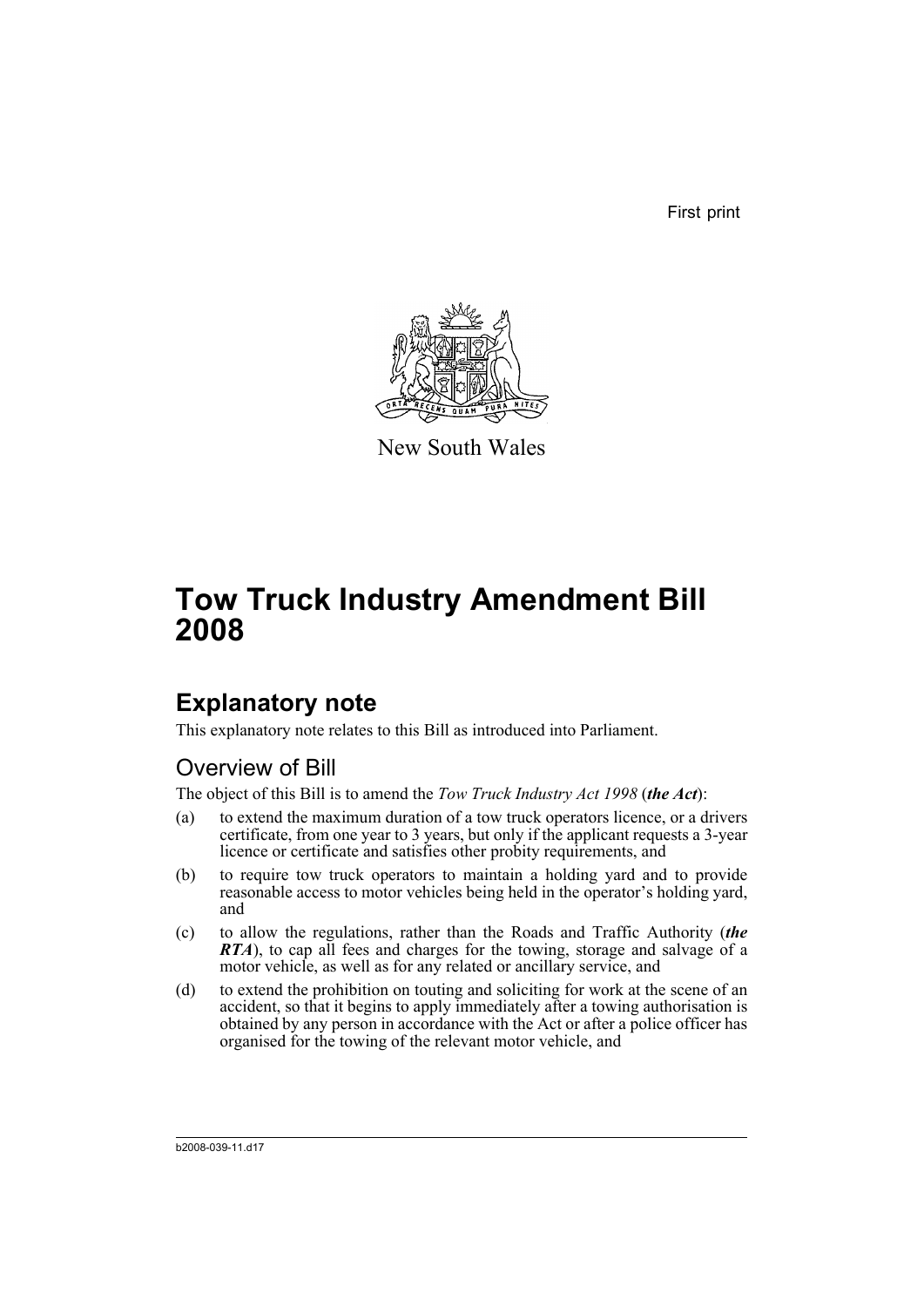First print



New South Wales

# **Tow Truck Industry Amendment Bill 2008**

# **Explanatory note**

This explanatory note relates to this Bill as introduced into Parliament.

## Overview of Bill

The object of this Bill is to amend the *Tow Truck Industry Act 1998* (*the Act*):

- (a) to extend the maximum duration of a tow truck operators licence, or a drivers certificate, from one year to 3 years, but only if the applicant requests a 3-year licence or certificate and satisfies other probity requirements, and
- (b) to require tow truck operators to maintain a holding yard and to provide reasonable access to motor vehicles being held in the operator's holding yard, and
- (c) to allow the regulations, rather than the Roads and Traffic Authority (*the RTA*), to cap all fees and charges for the towing, storage and salvage of a motor vehicle, as well as for any related or ancillary service, and
- (d) to extend the prohibition on touting and soliciting for work at the scene of an accident, so that it begins to apply immediately after a towing authorisation is obtained by any person in accordance with the Act or after a police officer has organised for the towing of the relevant motor vehicle, and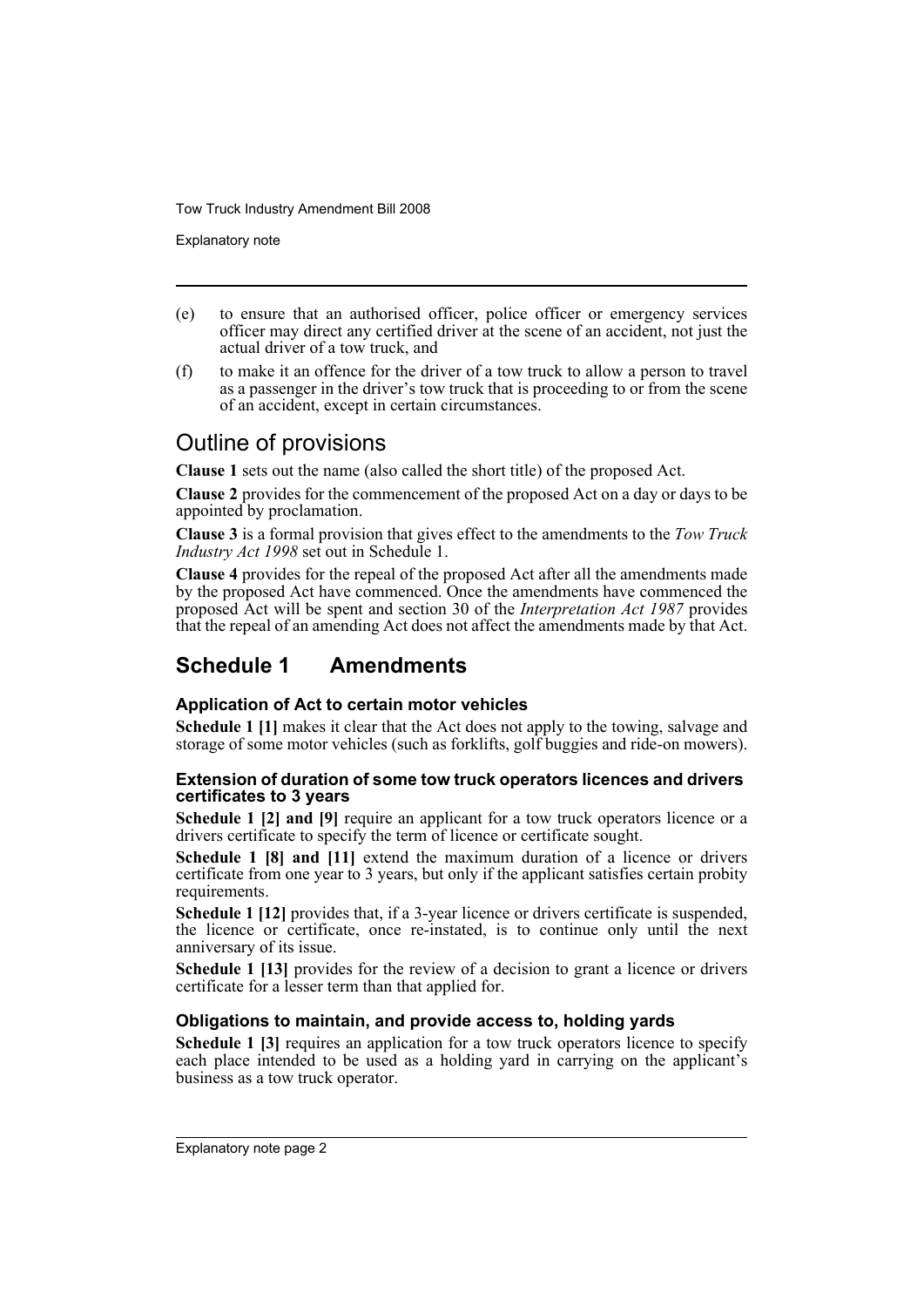Explanatory note

- (e) to ensure that an authorised officer, police officer or emergency services officer may direct any certified driver at the scene of an accident, not just the actual driver of a tow truck, and
- (f) to make it an offence for the driver of a tow truck to allow a person to travel as a passenger in the driver's tow truck that is proceeding to or from the scene of an accident, except in certain circumstances.

## Outline of provisions

**Clause 1** sets out the name (also called the short title) of the proposed Act.

**Clause 2** provides for the commencement of the proposed Act on a day or days to be appointed by proclamation.

**Clause 3** is a formal provision that gives effect to the amendments to the *Tow Truck Industry Act 1998* set out in Schedule 1.

**Clause 4** provides for the repeal of the proposed Act after all the amendments made by the proposed Act have commenced. Once the amendments have commenced the proposed Act will be spent and section 30 of the *Interpretation Act 1987* provides that the repeal of an amending Act does not affect the amendments made by that Act.

## **Schedule 1 Amendments**

## **Application of Act to certain motor vehicles**

**Schedule 1 [1]** makes it clear that the Act does not apply to the towing, salvage and storage of some motor vehicles (such as forklifts, golf buggies and ride-on mowers).

## **Extension of duration of some tow truck operators licences and drivers certificates to 3 years**

**Schedule 1 [2] and [9]** require an applicant for a tow truck operators licence or a drivers certificate to specify the term of licence or certificate sought.

**Schedule 1 [8] and [11]** extend the maximum duration of a licence or drivers certificate from one year to 3 years, but only if the applicant satisfies certain probity requirements.

**Schedule 1 [12]** provides that, if a 3-year licence or drivers certificate is suspended. the licence or certificate, once re-instated, is to continue only until the next anniversary of its issue.

**Schedule 1 [13]** provides for the review of a decision to grant a licence or drivers certificate for a lesser term than that applied for.

## **Obligations to maintain, and provide access to, holding yards**

**Schedule 1 [3]** requires an application for a tow truck operators licence to specify each place intended to be used as a holding yard in carrying on the applicant's business as a tow truck operator.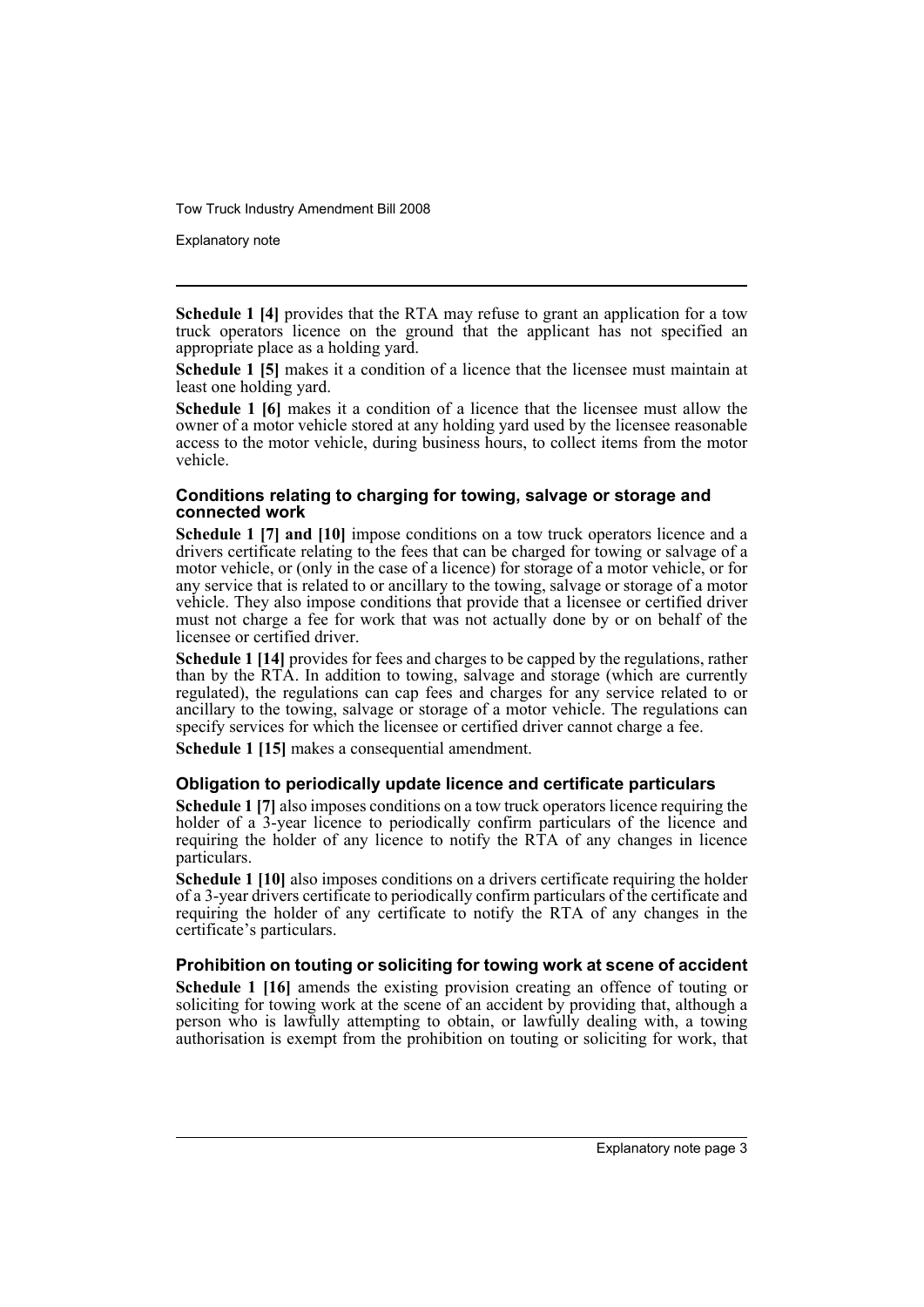Explanatory note

**Schedule 1 [4]** provides that the RTA may refuse to grant an application for a tow truck operators licence on the ground that the applicant has not specified an appropriate place as a holding yard.

**Schedule 1 [5]** makes it a condition of a licence that the licensee must maintain at least one holding yard.

**Schedule 1 [6]** makes it a condition of a licence that the licensee must allow the owner of a motor vehicle stored at any holding yard used by the licensee reasonable access to the motor vehicle, during business hours, to collect items from the motor vehicle.

## **Conditions relating to charging for towing, salvage or storage and connected work**

**Schedule 1 [7] and [10]** impose conditions on a tow truck operators licence and a drivers certificate relating to the fees that can be charged for towing or salvage of a motor vehicle, or (only in the case of a licence) for storage of a motor vehicle, or for any service that is related to or ancillary to the towing, salvage or storage of a motor vehicle. They also impose conditions that provide that a licensee or certified driver must not charge a fee for work that was not actually done by or on behalf of the licensee or certified driver.

**Schedule 1 [14]** provides for fees and charges to be capped by the regulations, rather than by the RTA. In addition to towing, salvage and storage (which are currently regulated), the regulations can cap fees and charges for any service related to or ancillary to the towing, salvage or storage of a motor vehicle. The regulations can specify services for which the licensee or certified driver cannot charge a fee.

**Schedule 1 [15]** makes a consequential amendment.

### **Obligation to periodically update licence and certificate particulars**

**Schedule 1 [7]** also imposes conditions on a tow truck operators licence requiring the holder of a 3-year licence to periodically confirm particulars of the licence and requiring the holder of any licence to notify the RTA of any changes in licence particulars.

**Schedule 1 [10]** also imposes conditions on a drivers certificate requiring the holder of a 3-year drivers certificate to periodically confirm particulars of the certificate and requiring the holder of any certificate to notify the RTA of any changes in the certificate's particulars.

## **Prohibition on touting or soliciting for towing work at scene of accident**

**Schedule 1 [16]** amends the existing provision creating an offence of touting or soliciting for towing work at the scene of an accident by providing that, although a person who is lawfully attempting to obtain, or lawfully dealing with, a towing authorisation is exempt from the prohibition on touting or soliciting for work, that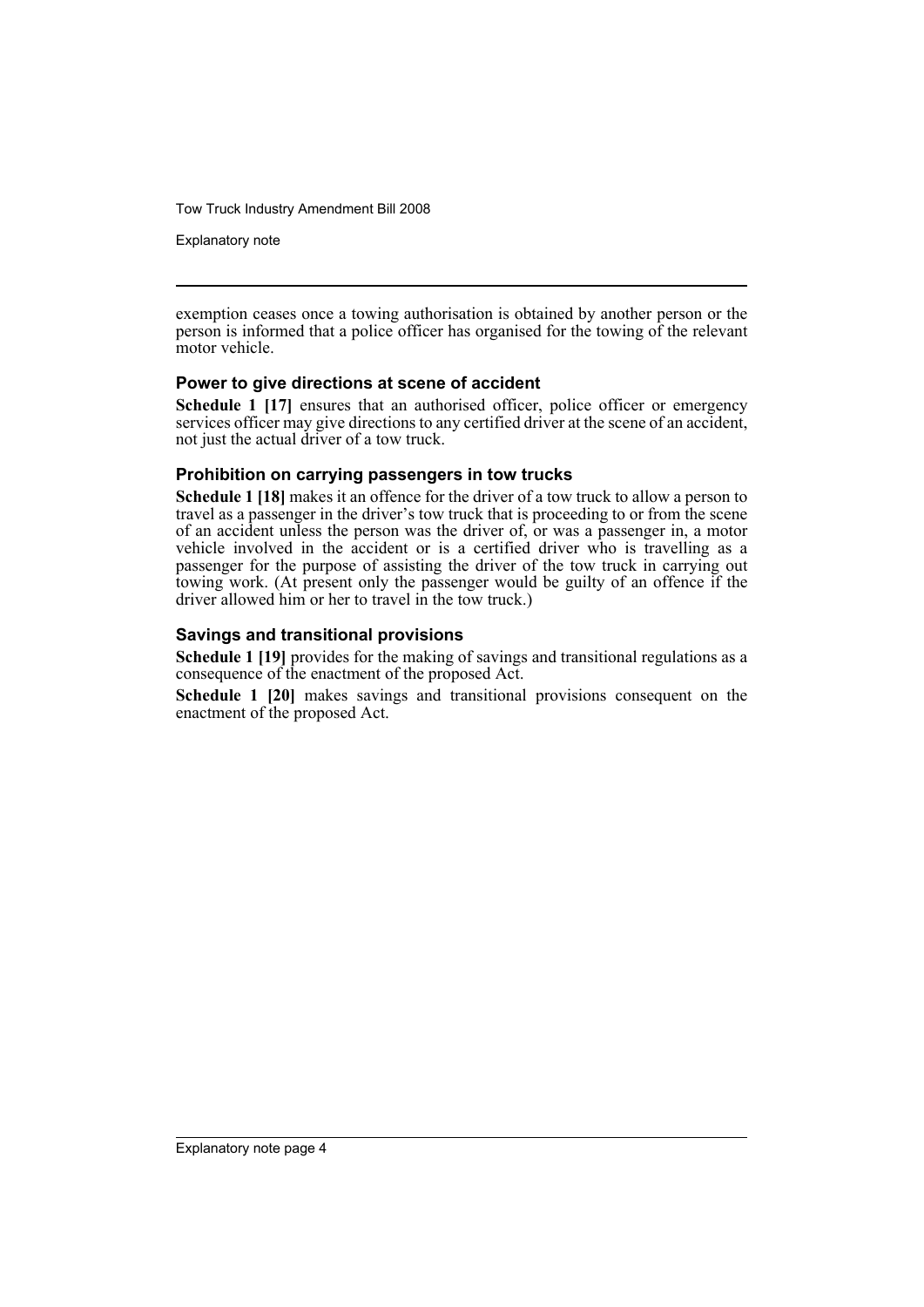Explanatory note

exemption ceases once a towing authorisation is obtained by another person or the person is informed that a police officer has organised for the towing of the relevant motor vehicle.

## **Power to give directions at scene of accident**

**Schedule 1 [17]** ensures that an authorised officer, police officer or emergency services officer may give directions to any certified driver at the scene of an accident, not just the actual driver of a tow truck.

## **Prohibition on carrying passengers in tow trucks**

**Schedule 1 [18]** makes it an offence for the driver of a tow truck to allow a person to travel as a passenger in the driver's tow truck that is proceeding to or from the scene of an accident unless the person was the driver of, or was a passenger in, a motor vehicle involved in the accident or is a certified driver who is travelling as a passenger for the purpose of assisting the driver of the tow truck in carrying out towing work. (At present only the passenger would be guilty of an offence if the driver allowed him or her to travel in the tow truck.)

## **Savings and transitional provisions**

**Schedule 1 [19]** provides for the making of savings and transitional regulations as a consequence of the enactment of the proposed Act.

**Schedule 1 [20]** makes savings and transitional provisions consequent on the enactment of the proposed Act.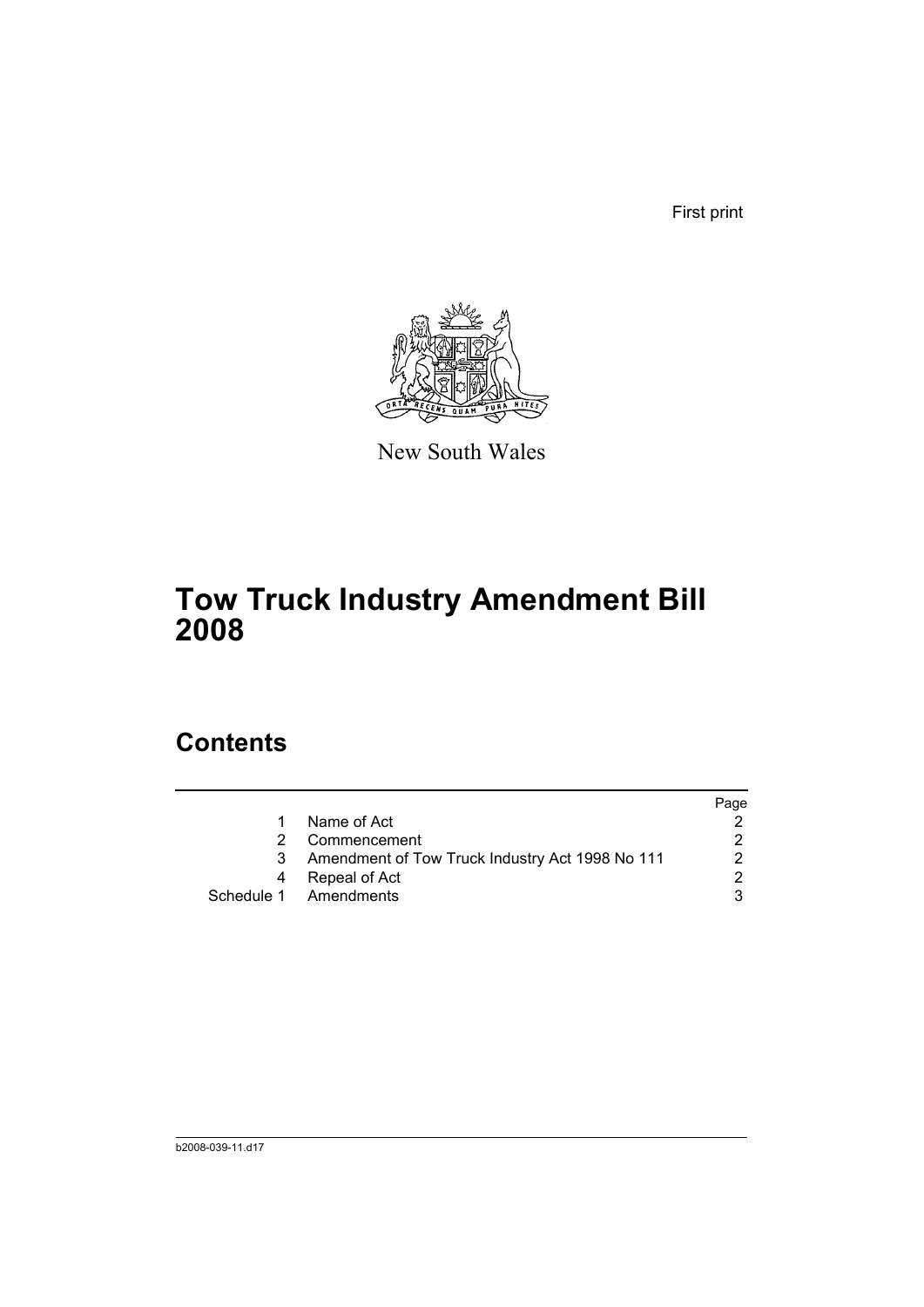First print



New South Wales

# **Tow Truck Industry Amendment Bill 2008**

## **Contents**

|    |                                                 | Page |
|----|-------------------------------------------------|------|
| 1. | Name of Act                                     |      |
| 2  | Commencement                                    |      |
| 3  | Amendment of Tow Truck Industry Act 1998 No 111 | 2    |
| 4  | Repeal of Act                                   | າ    |
|    | Schedule 1 Amendments                           |      |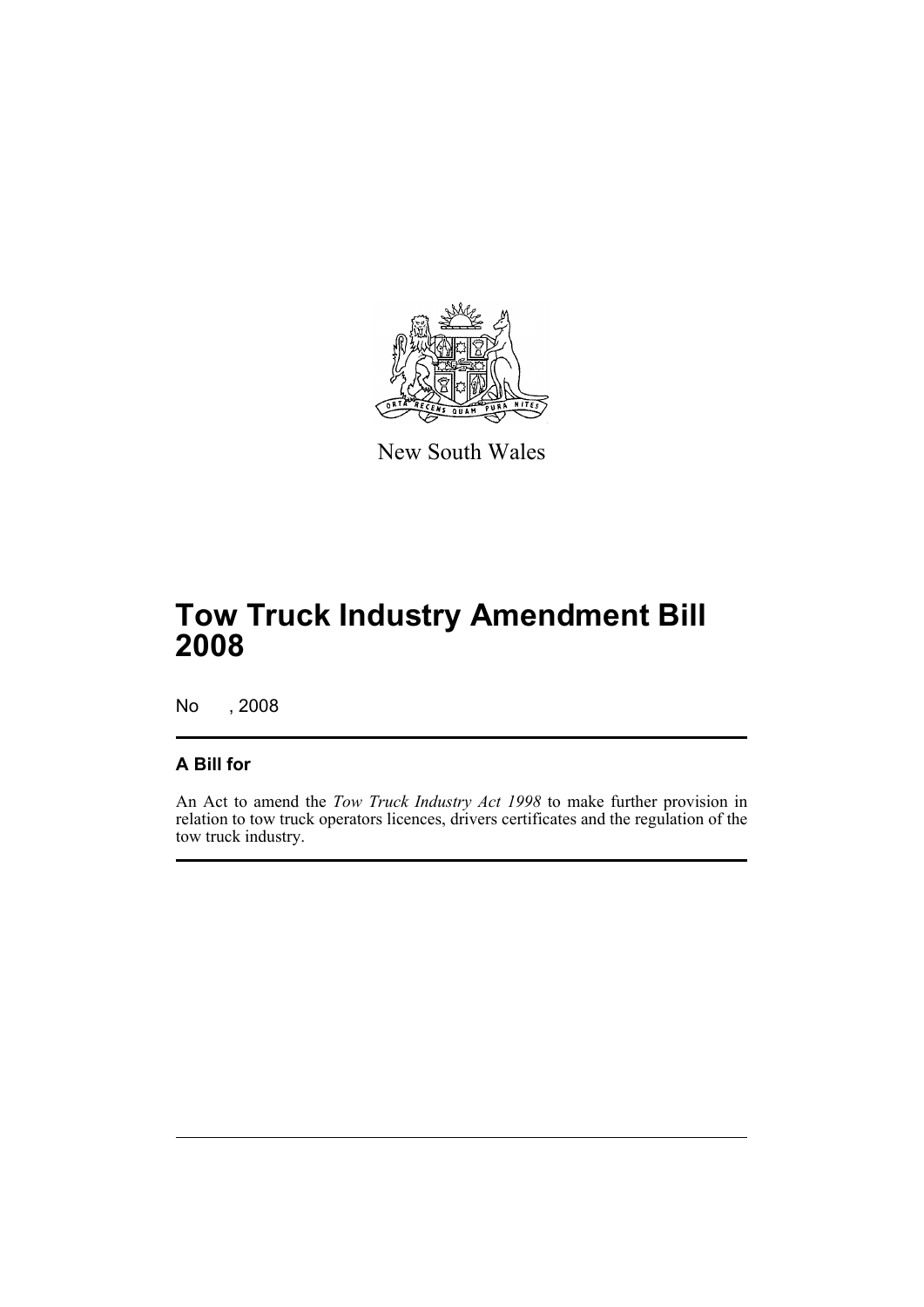

New South Wales

# **Tow Truck Industry Amendment Bill 2008**

No , 2008

## **A Bill for**

An Act to amend the *Tow Truck Industry Act 1998* to make further provision in relation to tow truck operators licences, drivers certificates and the regulation of the tow truck industry.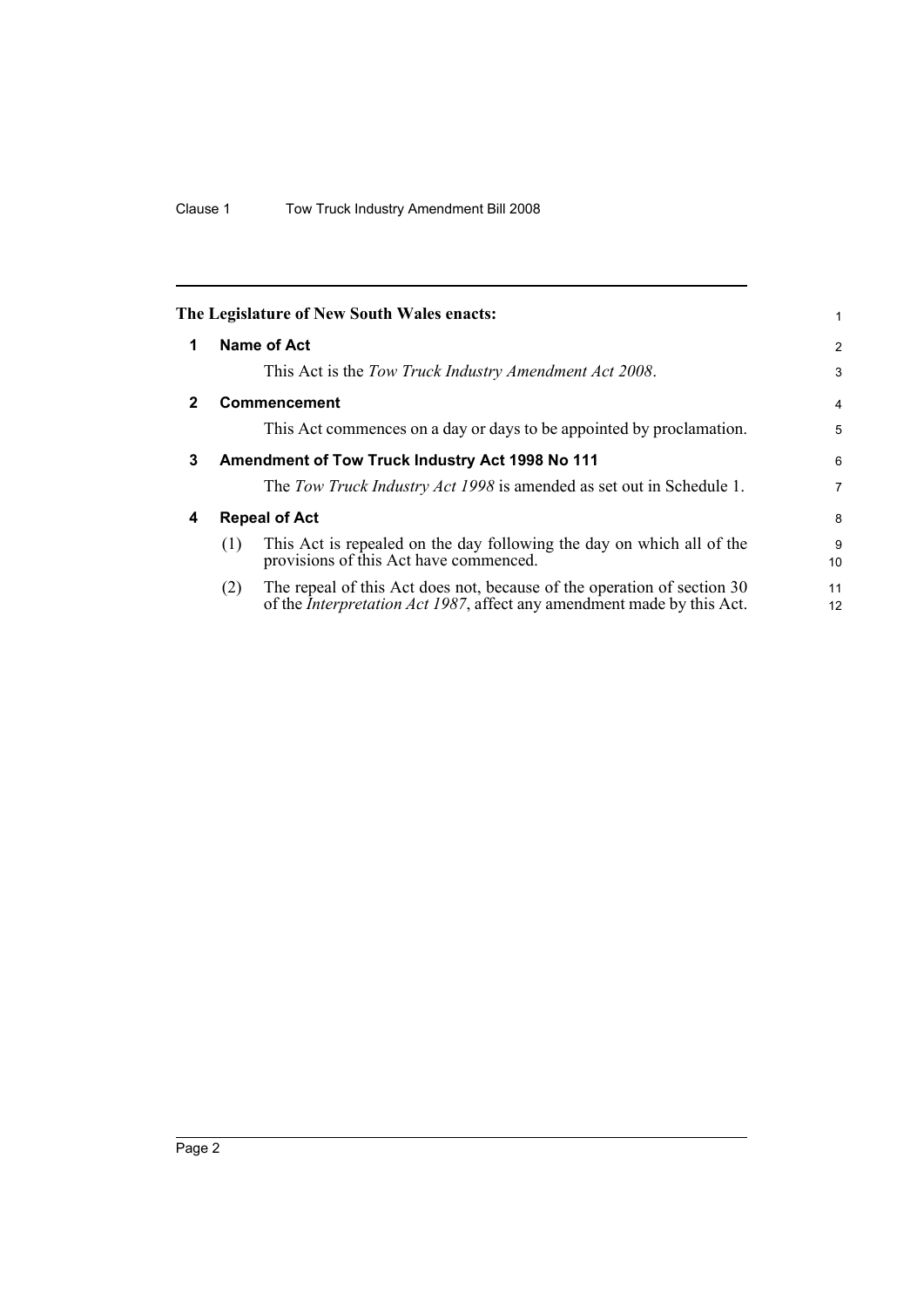<span id="page-7-3"></span><span id="page-7-2"></span><span id="page-7-1"></span><span id="page-7-0"></span>

|              | The Legislature of New South Wales enacts:                                                                                                                       | 1              |
|--------------|------------------------------------------------------------------------------------------------------------------------------------------------------------------|----------------|
| 1            | Name of Act                                                                                                                                                      | $\overline{2}$ |
|              | This Act is the Tow Truck Industry Amendment Act 2008.                                                                                                           | 3              |
| $\mathbf{2}$ | <b>Commencement</b>                                                                                                                                              | $\overline{4}$ |
|              | This Act commences on a day or days to be appointed by proclamation.                                                                                             | 5              |
| 3            | Amendment of Tow Truck Industry Act 1998 No 111                                                                                                                  | 6              |
|              | The Tow Truck Industry Act 1998 is amended as set out in Schedule 1.                                                                                             | $\overline{7}$ |
| 4            | <b>Repeal of Act</b>                                                                                                                                             | 8              |
|              | This Act is repealed on the day following the day on which all of the<br>(1)<br>provisions of this Act have commenced.                                           | 9<br>10        |
|              | The repeal of this Act does not, because of the operation of section 30<br>(2)<br>of the <i>Interpretation Act 1987</i> , affect any amendment made by this Act. | 11<br>12       |
|              |                                                                                                                                                                  |                |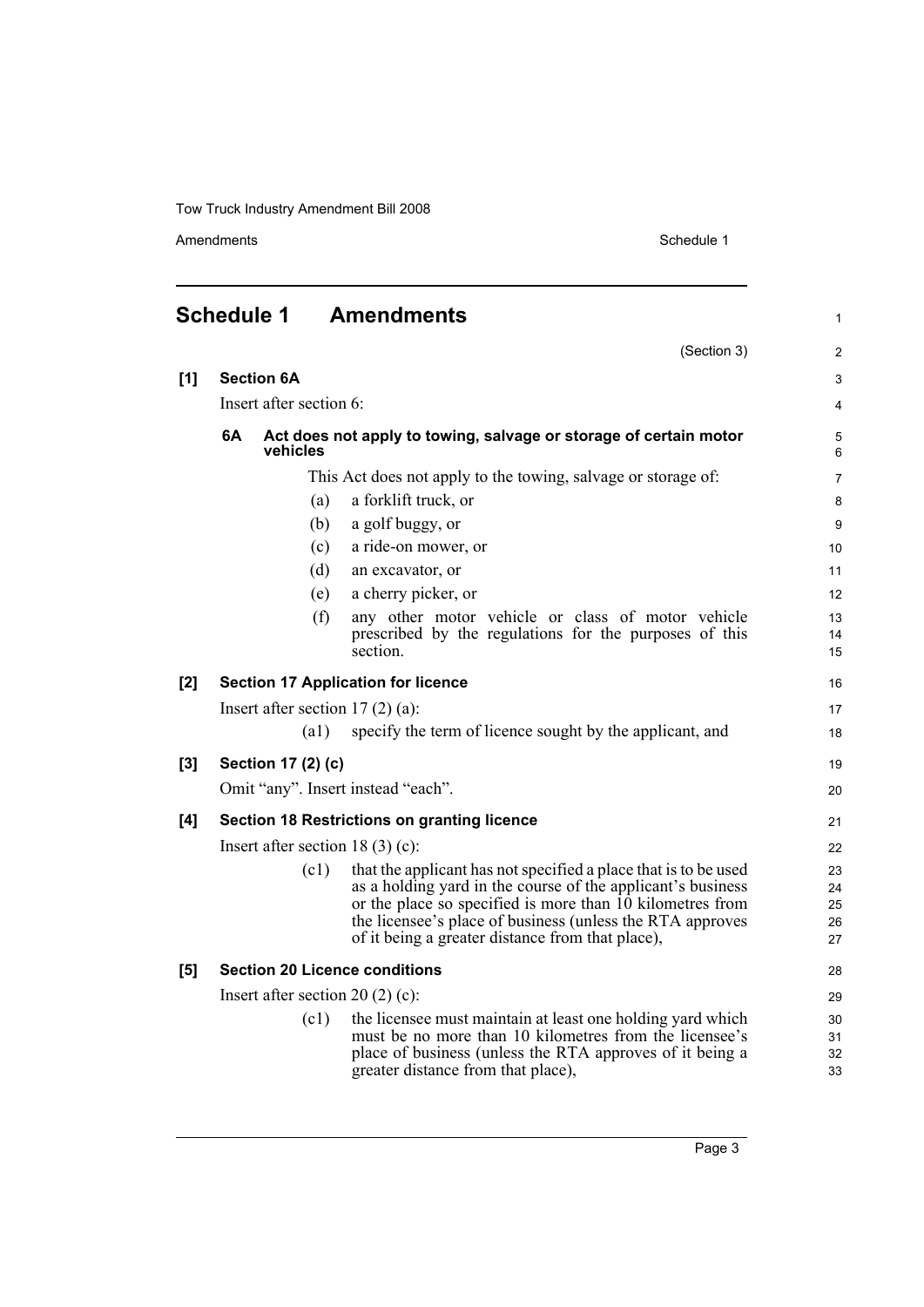Amendments Schedule 1

(Section 3)

1

2

<span id="page-8-0"></span>

| <b>Schedule 1</b> | <b>Amendments</b> |
|-------------------|-------------------|
|                   |                   |

| [1]   | <b>Section 6A</b>                 |                                       |                                                                                                                                                                                                                                                                                                              |                            |  |
|-------|-----------------------------------|---------------------------------------|--------------------------------------------------------------------------------------------------------------------------------------------------------------------------------------------------------------------------------------------------------------------------------------------------------------|----------------------------|--|
|       | Insert after section 6:           |                                       |                                                                                                                                                                                                                                                                                                              |                            |  |
|       | 6A                                | vehicles                              | Act does not apply to towing, salvage or storage of certain motor                                                                                                                                                                                                                                            | 5<br>6                     |  |
|       |                                   |                                       | This Act does not apply to the towing, salvage or storage of:                                                                                                                                                                                                                                                | $\overline{7}$             |  |
|       |                                   | (a)                                   | a forklift truck, or                                                                                                                                                                                                                                                                                         | 8                          |  |
|       |                                   | (b)                                   | a golf buggy, or                                                                                                                                                                                                                                                                                             | 9                          |  |
|       |                                   | (c)                                   | a ride-on mower, or                                                                                                                                                                                                                                                                                          | 10                         |  |
|       |                                   | (d)                                   | an excavator, or                                                                                                                                                                                                                                                                                             | 11                         |  |
|       |                                   | (e)                                   | a cherry picker, or                                                                                                                                                                                                                                                                                          | 12                         |  |
|       |                                   | (f)                                   | any other motor vehicle or class of motor vehicle<br>prescribed by the regulations for the purposes of this<br>section.                                                                                                                                                                                      | 13<br>14<br>15             |  |
| [2]   |                                   |                                       | <b>Section 17 Application for licence</b>                                                                                                                                                                                                                                                                    | 16                         |  |
|       | Insert after section $17(2)(a)$ : |                                       |                                                                                                                                                                                                                                                                                                              |                            |  |
|       |                                   | (a1)                                  | specify the term of licence sought by the applicant, and                                                                                                                                                                                                                                                     | 18                         |  |
| $[3]$ |                                   | Section 17 (2) (c)                    |                                                                                                                                                                                                                                                                                                              | 19                         |  |
|       |                                   |                                       | Omit "any". Insert instead "each".                                                                                                                                                                                                                                                                           | 20                         |  |
| [4]   |                                   |                                       | <b>Section 18 Restrictions on granting licence</b>                                                                                                                                                                                                                                                           | 21                         |  |
|       |                                   | Insert after section 18 $(3)$ $(c)$ : |                                                                                                                                                                                                                                                                                                              | 22                         |  |
|       |                                   | (c1)                                  | that the applicant has not specified a place that is to be used<br>as a holding yard in the course of the applicant's business<br>or the place so specified is more than 10 kilometres from<br>the licensee's place of business (unless the RTA approves<br>of it being a greater distance from that place), | 23<br>24<br>25<br>26<br>27 |  |
| [5]   |                                   |                                       | <b>Section 20 Licence conditions</b>                                                                                                                                                                                                                                                                         | 28                         |  |
|       |                                   | Insert after section 20 $(2)$ $(c)$ : |                                                                                                                                                                                                                                                                                                              | 29                         |  |
|       |                                   | (c1)                                  | the licensee must maintain at least one holding yard which<br>must be no more than 10 kilometres from the licensee's<br>place of business (unless the RTA approves of it being a<br>greater distance from that place),                                                                                       | 30<br>31<br>32<br>33       |  |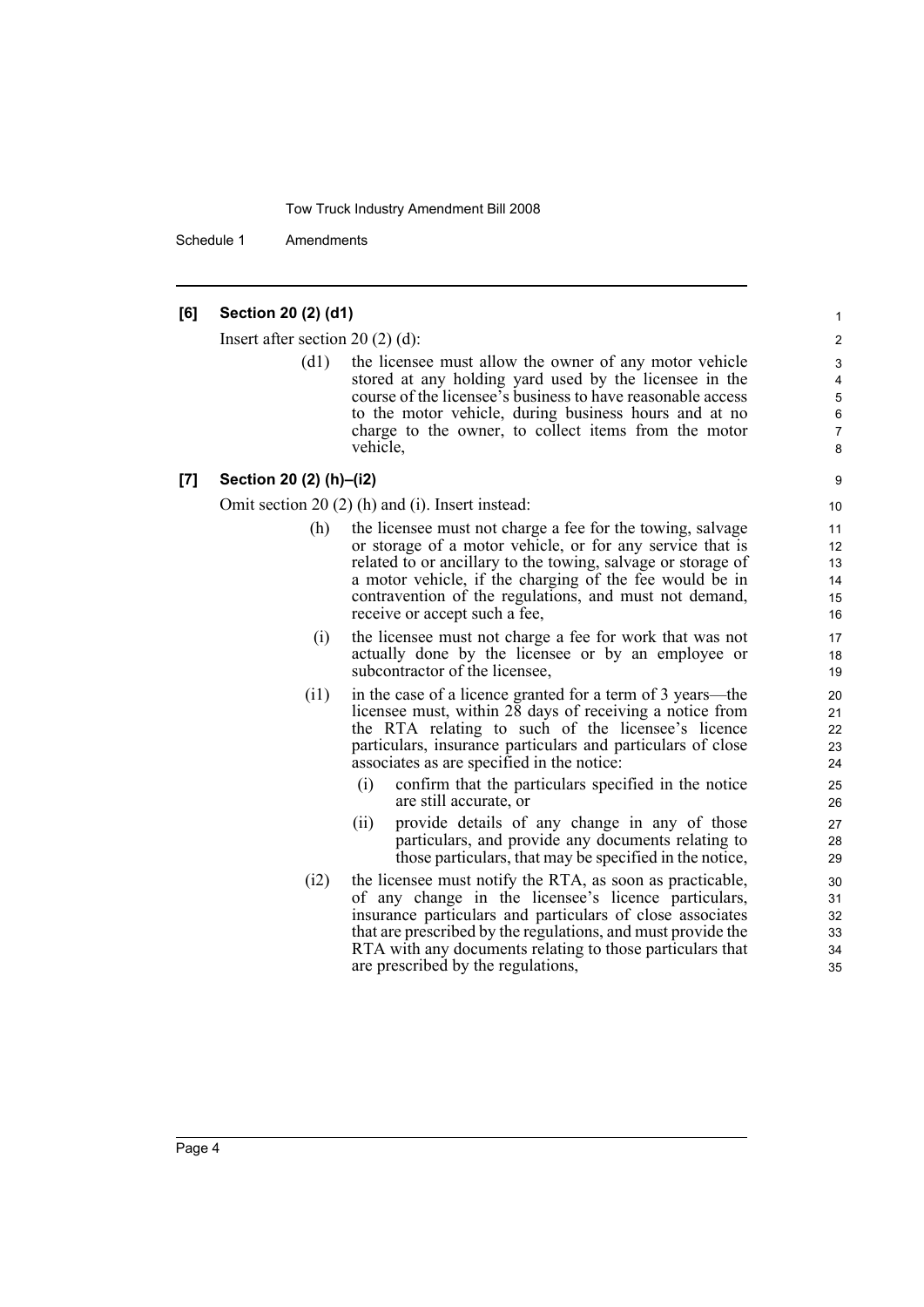Schedule 1 Amendments

## **[6] Section 20 (2) (d1)**

Insert after section 20 (2) (d):

(d1) the licensee must allow the owner of any motor vehicle stored at any holding yard used by the licensee in the course of the licensee's business to have reasonable access to the motor vehicle, during business hours and at no charge to the owner, to collect items from the motor vehicle,

#### **[7] Section 20 (2) (h)–(i2)**

Omit section 20 (2) (h) and (i). Insert instead:

- (h) the licensee must not charge a fee for the towing, salvage or storage of a motor vehicle, or for any service that is related to or ancillary to the towing, salvage or storage of a motor vehicle, if the charging of the fee would be in contravention of the regulations, and must not demand, receive or accept such a fee,
- (i) the licensee must not charge a fee for work that was not actually done by the licensee or by an employee or subcontractor of the licensee,
- (i1) in the case of a licence granted for a term of 3 years—the licensee must, within 28 days of receiving a notice from the RTA relating to such of the licensee's licence particulars, insurance particulars and particulars of close associates as are specified in the notice:
	- (i) confirm that the particulars specified in the notice are still accurate, or
	- (ii) provide details of any change in any of those particulars, and provide any documents relating to those particulars, that may be specified in the notice,
- (i2) the licensee must notify the RTA, as soon as practicable, of any change in the licensee's licence particulars, insurance particulars and particulars of close associates that are prescribed by the regulations, and must provide the RTA with any documents relating to those particulars that are prescribed by the regulations,

6 7 8

9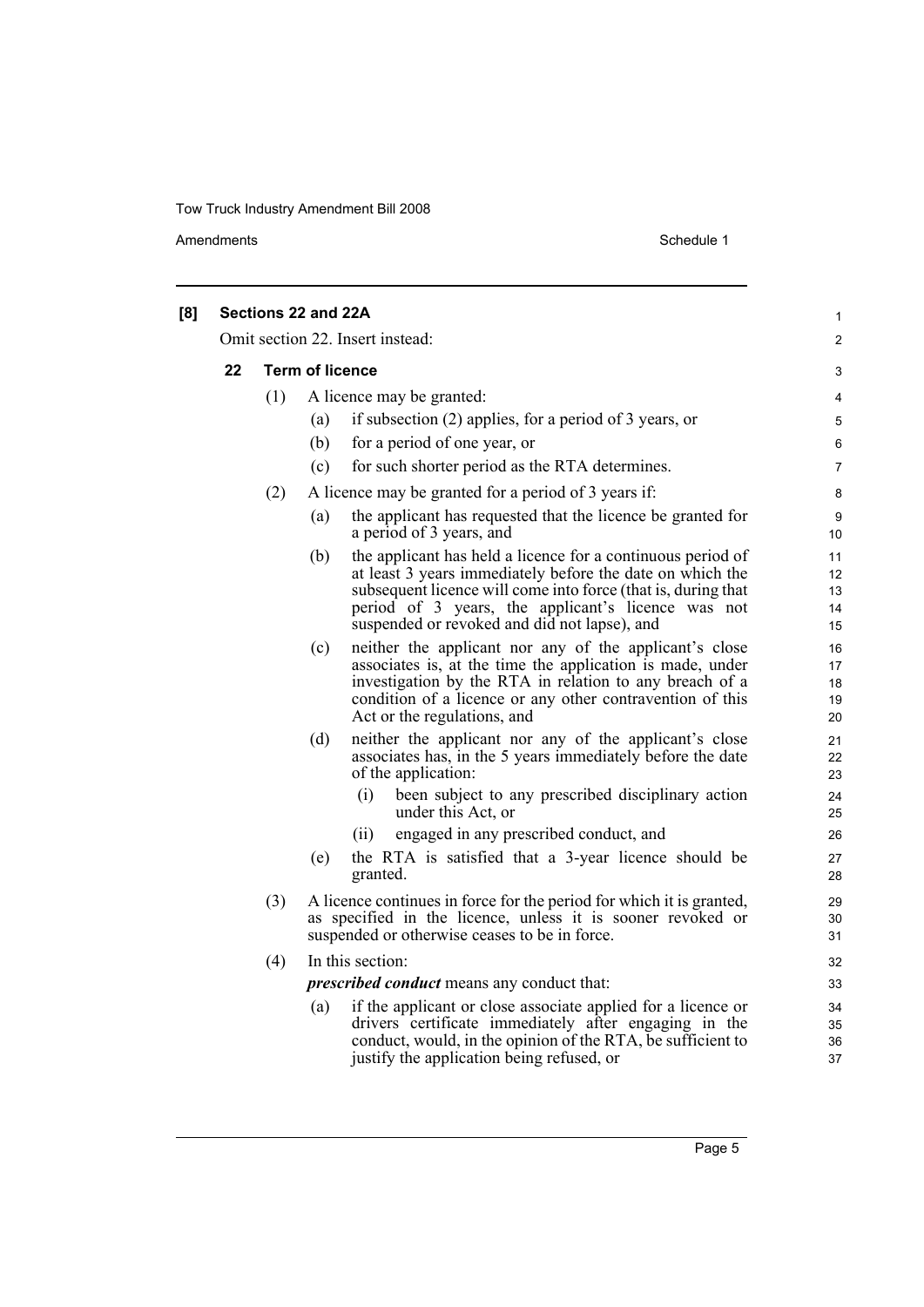Amendments Schedule 1

| [8] |    | Sections 22 and 22A |                        |                                                                                                                                                                                                                                                                                                 | 1                          |
|-----|----|---------------------|------------------------|-------------------------------------------------------------------------------------------------------------------------------------------------------------------------------------------------------------------------------------------------------------------------------------------------|----------------------------|
|     |    |                     |                        | Omit section 22. Insert instead:                                                                                                                                                                                                                                                                | $\overline{2}$             |
|     | 22 |                     | <b>Term of licence</b> |                                                                                                                                                                                                                                                                                                 | 3                          |
|     |    | (1)                 |                        | A licence may be granted:                                                                                                                                                                                                                                                                       | 4                          |
|     |    |                     | (a)                    | if subsection $(2)$ applies, for a period of 3 years, or                                                                                                                                                                                                                                        | 5                          |
|     |    |                     | (b)                    | for a period of one year, or                                                                                                                                                                                                                                                                    | 6                          |
|     |    |                     | (c)                    | for such shorter period as the RTA determines.                                                                                                                                                                                                                                                  | $\overline{7}$             |
|     |    | (2)                 |                        | A licence may be granted for a period of 3 years if:                                                                                                                                                                                                                                            | 8                          |
|     |    |                     | (a)                    | the applicant has requested that the licence be granted for<br>a period of 3 years, and                                                                                                                                                                                                         | 9<br>10                    |
|     |    |                     | (b)                    | the applicant has held a licence for a continuous period of<br>at least 3 years immediately before the date on which the<br>subsequent licence will come into force (that is, during that<br>period of 3 years, the applicant's licence was not<br>suspended or revoked and did not lapse), and | 11<br>12<br>13<br>14<br>15 |
|     |    |                     | (c)                    | neither the applicant nor any of the applicant's close<br>associates is, at the time the application is made, under<br>investigation by the RTA in relation to any breach of a<br>condition of a licence or any other contravention of this<br>Act or the regulations, and                      | 16<br>17<br>18<br>19<br>20 |
|     |    |                     | (d)                    | neither the applicant nor any of the applicant's close<br>associates has, in the 5 years immediately before the date<br>of the application:                                                                                                                                                     | 21<br>22<br>23             |
|     |    |                     |                        | been subject to any prescribed disciplinary action<br>(i)<br>under this Act, or                                                                                                                                                                                                                 | 24<br>25                   |
|     |    |                     |                        | (ii)<br>engaged in any prescribed conduct, and                                                                                                                                                                                                                                                  | 26                         |
|     |    |                     | (e)                    | the RTA is satisfied that a 3-year licence should be<br>granted.                                                                                                                                                                                                                                | 27<br>28                   |
|     |    | (3)                 |                        | A licence continues in force for the period for which it is granted,<br>as specified in the licence, unless it is sooner revoked or<br>suspended or otherwise ceases to be in force.                                                                                                            | 29<br>30<br>31             |
|     |    | (4)                 |                        | In this section:                                                                                                                                                                                                                                                                                | 32                         |
|     |    |                     |                        | <i>prescribed conduct</i> means any conduct that:                                                                                                                                                                                                                                               | 33                         |
|     |    |                     | (a)                    | if the applicant or close associate applied for a licence or<br>drivers certificate immediately after engaging in the<br>conduct, would, in the opinion of the RTA, be sufficient to<br>justify the application being refused, or                                                               | 34<br>35<br>36<br>37       |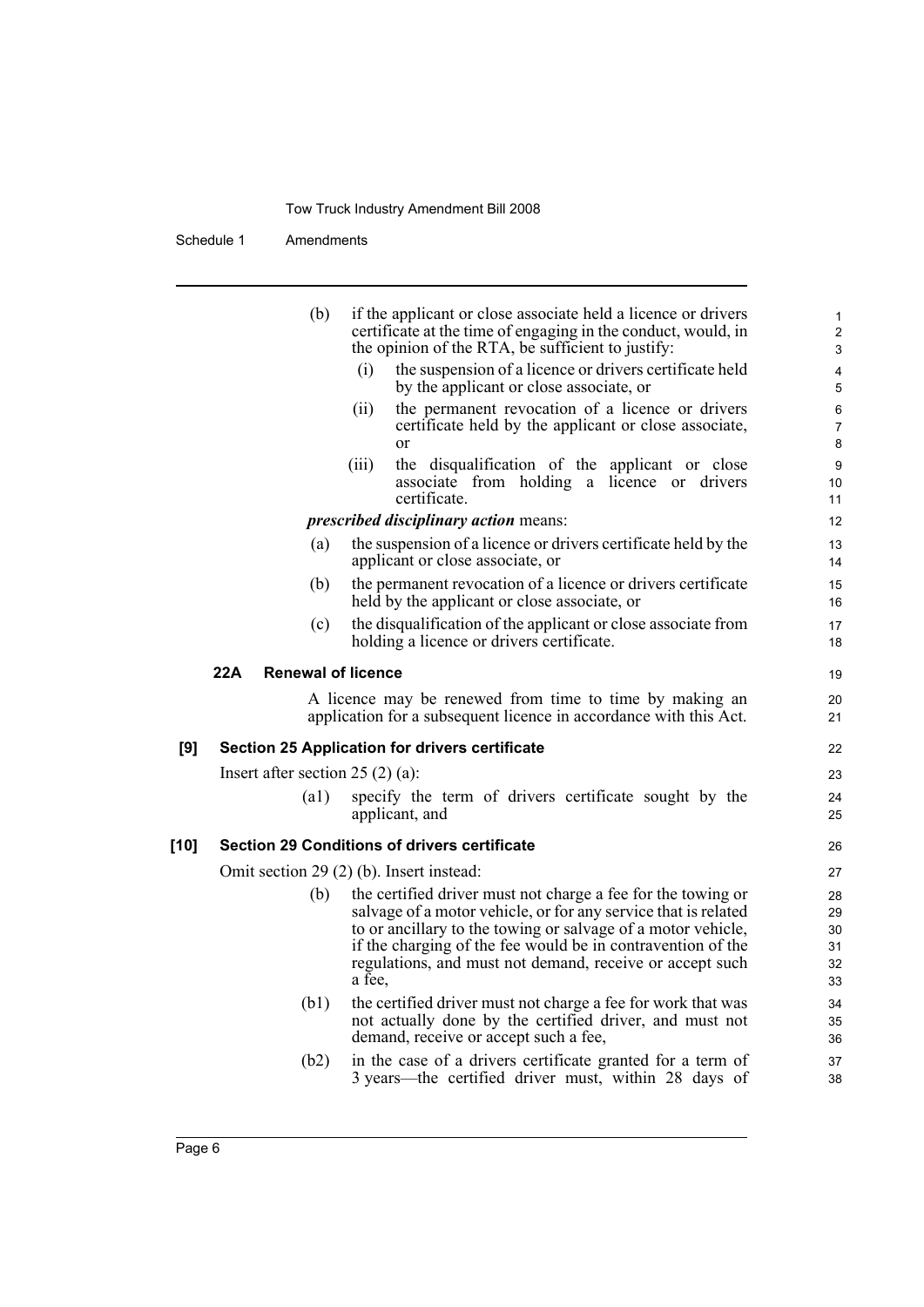Schedule 1 Amendments

|      | (b)                               | if the applicant or close associate held a licence or drivers<br>certificate at the time of engaging in the conduct, would, in                                                                                                                                | $\mathbf{1}$<br>$\overline{c}$          |
|------|-----------------------------------|---------------------------------------------------------------------------------------------------------------------------------------------------------------------------------------------------------------------------------------------------------------|-----------------------------------------|
|      |                                   | the opinion of the RTA, be sufficient to justify:                                                                                                                                                                                                             | 3                                       |
|      |                                   | (i)<br>the suspension of a licence or drivers certificate held<br>by the applicant or close associate, or                                                                                                                                                     | $\overline{\mathbf{4}}$<br>$\mathbf 5$  |
|      |                                   | the permanent revocation of a licence or drivers<br>(ii)<br>certificate held by the applicant or close associate,<br>or                                                                                                                                       | $\,6\,$<br>$\overline{7}$               |
|      |                                   | the disqualification of the applicant or close<br>(iii)<br>associate from holding a licence or drivers<br>certificate.                                                                                                                                        | $\bf 8$<br>$\boldsymbol{9}$<br>10<br>11 |
|      |                                   | <i>prescribed disciplinary action means:</i>                                                                                                                                                                                                                  | 12                                      |
|      | (a)                               | the suspension of a licence or drivers certificate held by the<br>applicant or close associate, or                                                                                                                                                            | 13<br>14                                |
|      | (b)                               | the permanent revocation of a licence or drivers certificate<br>held by the applicant or close associate, or                                                                                                                                                  | 15<br>16                                |
|      | (c)                               | the disqualification of the applicant or close associate from<br>holding a licence or drivers certificate.                                                                                                                                                    | 17<br>18                                |
|      | <b>Renewal of licence</b><br>22A  |                                                                                                                                                                                                                                                               | 19                                      |
|      |                                   | A licence may be renewed from time to time by making an<br>application for a subsequent licence in accordance with this Act.                                                                                                                                  | 20<br>21                                |
| [9]  |                                   | <b>Section 25 Application for drivers certificate</b>                                                                                                                                                                                                         | 22                                      |
|      | Insert after section $25(2)(a)$ : |                                                                                                                                                                                                                                                               | 23                                      |
|      | $\left( a1\right)$                | specify the term of drivers certificate sought by the<br>applicant, and                                                                                                                                                                                       | 24<br>25                                |
| [10] |                                   | <b>Section 29 Conditions of drivers certificate</b>                                                                                                                                                                                                           | 26                                      |
|      |                                   | Omit section 29 (2) (b). Insert instead:                                                                                                                                                                                                                      | 27                                      |
|      | (b)                               | the certified driver must not charge a fee for the towing or<br>salvage of a motor vehicle, or for any service that is related<br>to or ancillary to the towing or salvage of a motor vehicle,<br>if the charging of the fee would be in contravention of the | 28<br>29<br>30<br>31                    |
|      |                                   | regulations, and must not demand, receive or accept such<br>a fee.                                                                                                                                                                                            | 32<br>33                                |
|      | (b1)                              | the certified driver must not charge a fee for work that was<br>not actually done by the certified driver, and must not<br>demand, receive or accept such a fee,                                                                                              | 34<br>35<br>36                          |
|      | (b2)                              | in the case of a drivers certificate granted for a term of<br>3 years—the certified driver must, within 28 days of                                                                                                                                            | 37<br>38                                |
|      |                                   |                                                                                                                                                                                                                                                               |                                         |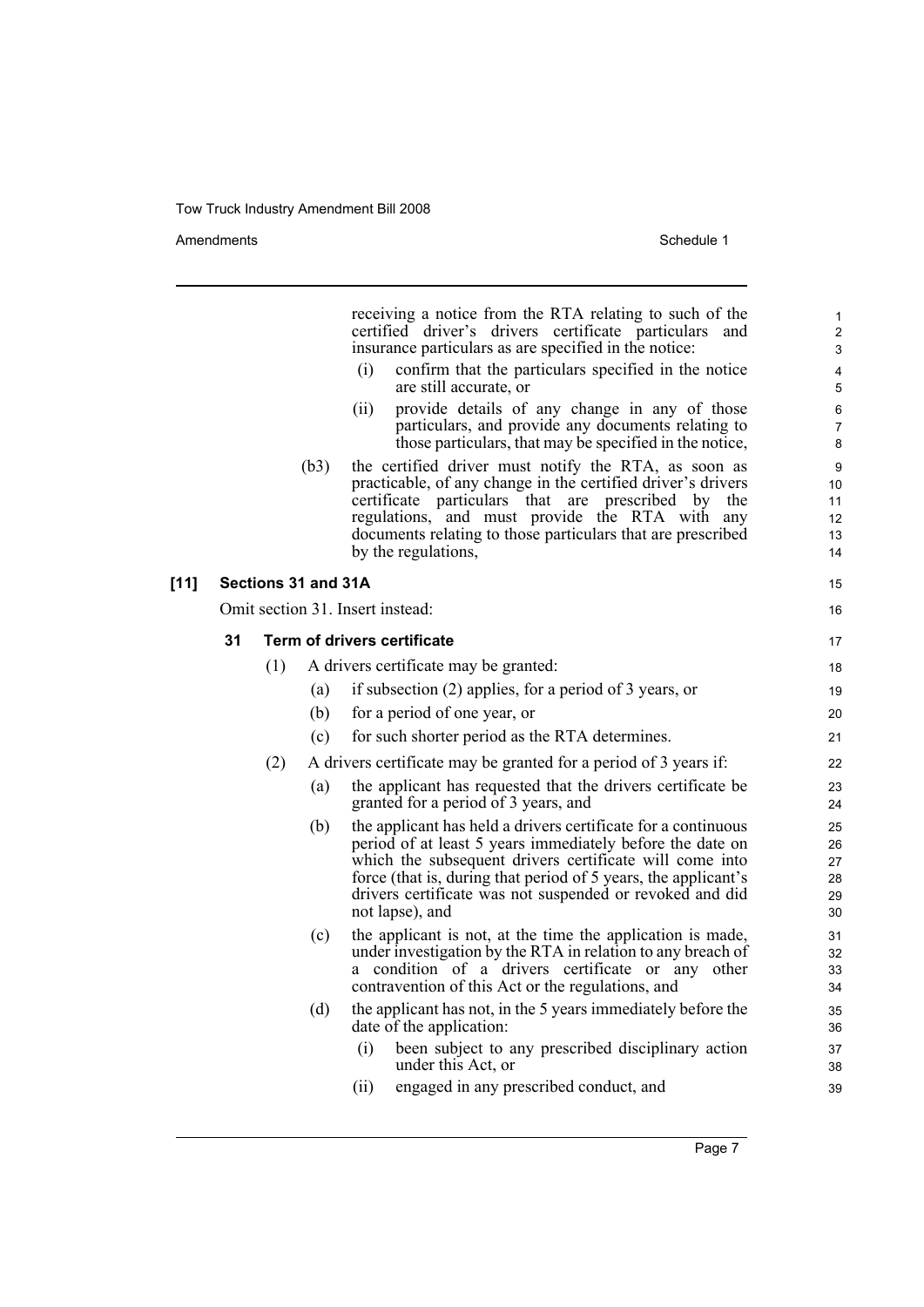Amendments Schedule 1

|        |    |     |                     | receiving a notice from the RTA relating to such of the<br>certified driver's drivers certificate particulars<br>and<br>insurance particulars as are specified in the notice:                                                                                                                                                          | 1<br>$\overline{c}$<br>3         |
|--------|----|-----|---------------------|----------------------------------------------------------------------------------------------------------------------------------------------------------------------------------------------------------------------------------------------------------------------------------------------------------------------------------------|----------------------------------|
|        |    |     |                     | (i)<br>confirm that the particulars specified in the notice<br>are still accurate, or                                                                                                                                                                                                                                                  | 4<br>5                           |
|        |    |     |                     | provide details of any change in any of those<br>(ii)<br>particulars, and provide any documents relating to<br>those particulars, that may be specified in the notice,                                                                                                                                                                 | 6<br>7<br>8                      |
|        |    |     | (b3)                | the certified driver must notify the RTA, as soon as<br>practicable, of any change in the certified driver's drivers<br>certificate particulars that are prescribed by<br>the<br>regulations, and must provide the RTA with any<br>documents relating to those particulars that are prescribed<br>by the regulations,                  | 9<br>10<br>11<br>12<br>13<br>14  |
| $[11]$ |    |     | Sections 31 and 31A |                                                                                                                                                                                                                                                                                                                                        | 15                               |
|        |    |     |                     | Omit section 31. Insert instead:                                                                                                                                                                                                                                                                                                       | 16                               |
|        | 31 |     |                     | Term of drivers certificate                                                                                                                                                                                                                                                                                                            | 17                               |
|        |    | (1) |                     | A drivers certificate may be granted:                                                                                                                                                                                                                                                                                                  | 18                               |
|        |    |     | (a)                 | if subsection (2) applies, for a period of 3 years, or                                                                                                                                                                                                                                                                                 | 19                               |
|        |    |     | (b)                 | for a period of one year, or                                                                                                                                                                                                                                                                                                           | 20                               |
|        |    |     | (c)                 | for such shorter period as the RTA determines.                                                                                                                                                                                                                                                                                         | 21                               |
|        |    | (2) |                     | A drivers certificate may be granted for a period of 3 years if:                                                                                                                                                                                                                                                                       | 22                               |
|        |    |     | (a)                 | the applicant has requested that the drivers certificate be<br>granted for a period of 3 years, and                                                                                                                                                                                                                                    | 23<br>24                         |
|        |    |     | (b)                 | the applicant has held a drivers certificate for a continuous<br>period of at least 5 years immediately before the date on<br>which the subsequent drivers certificate will come into<br>force (that is, during that period of 5 years, the applicant's<br>drivers certificate was not suspended or revoked and did<br>not lapse), and | 25<br>26<br>27<br>28<br>29<br>30 |
|        |    |     | (c)                 | the applicant is not, at the time the application is made,<br>under investigation by the RTA in relation to any breach of<br>a condition of a drivers certificate or any other<br>contravention of this Act or the regulations, and                                                                                                    | 31<br>32<br>33<br>34             |
|        |    |     | (d)                 | the applicant has not, in the 5 years immediately before the<br>date of the application:                                                                                                                                                                                                                                               | 35<br>36                         |
|        |    |     |                     | (i)<br>been subject to any prescribed disciplinary action<br>under this Act, or                                                                                                                                                                                                                                                        | 37<br>38                         |
|        |    |     |                     | (ii)<br>engaged in any prescribed conduct, and                                                                                                                                                                                                                                                                                         | 39                               |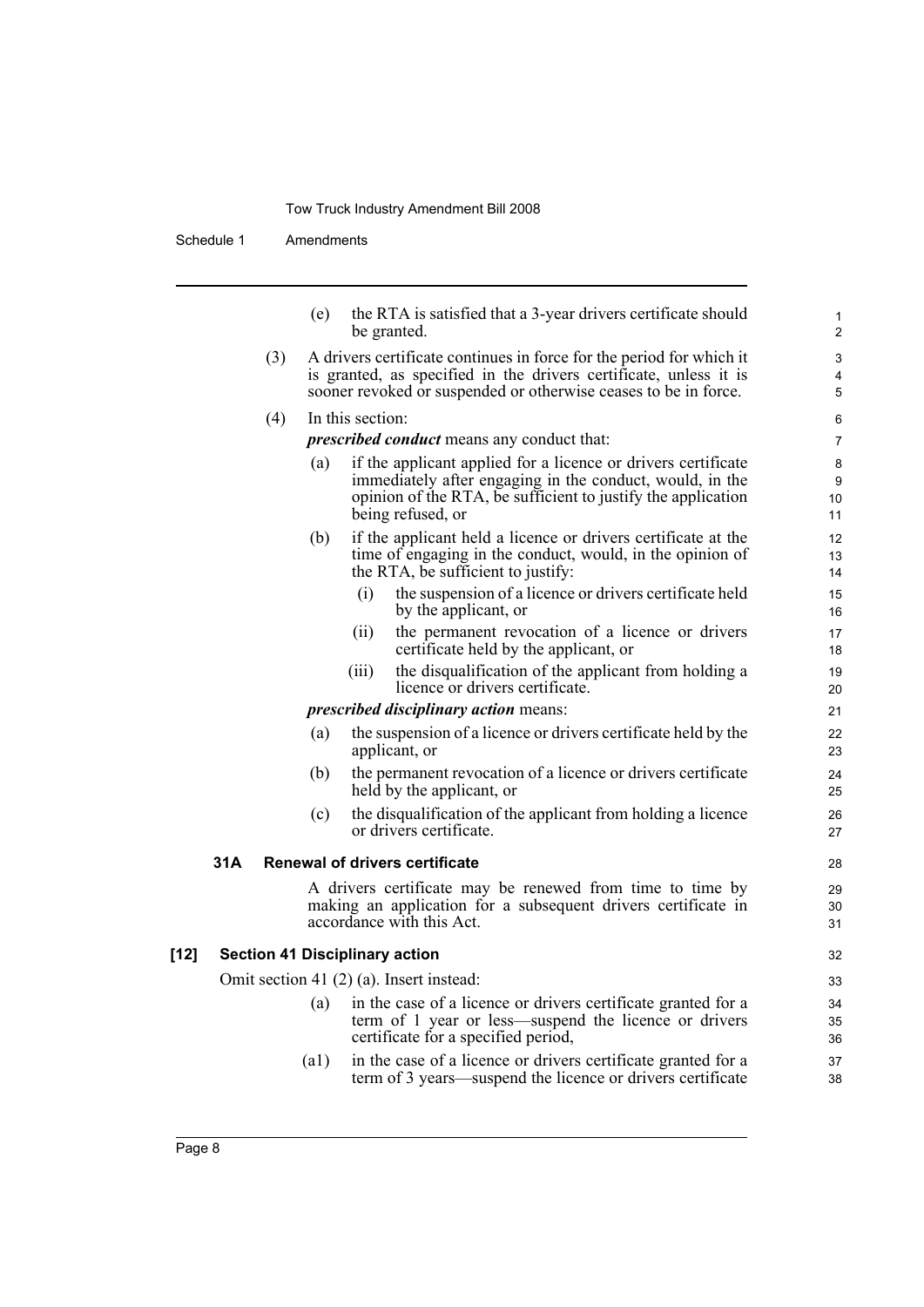Schedule 1 Amendments

| (e) | the RTA is satisfied that a 3-year drivers certificate should |
|-----|---------------------------------------------------------------|
|     | be granted.                                                   |

(3) A drivers certificate continues in force for the period for which it is granted, as specified in the drivers certificate, unless it is sooner revoked or suspended or otherwise ceases to be in force.

#### (4) In this section:

*prescribed conduct* means any conduct that:

- (a) if the applicant applied for a licence or drivers certificate immediately after engaging in the conduct, would, in the opinion of the RTA, be sufficient to justify the application being refused, or
- (b) if the applicant held a licence or drivers certificate at the time of engaging in the conduct, would, in the opinion of the RTA, be sufficient to justify:
	- (i) the suspension of a licence or drivers certificate held by the applicant, or
	- (ii) the permanent revocation of a licence or drivers certificate held by the applicant, or
	- (iii) the disqualification of the applicant from holding a licence or drivers certificate.

#### *prescribed disciplinary action* means:

- (a) the suspension of a licence or drivers certificate held by the applicant, or
- (b) the permanent revocation of a licence or drivers certificate held by the applicant, or
- (c) the disqualification of the applicant from holding a licence or drivers certificate.

#### **31A Renewal of drivers certificate**

A drivers certificate may be renewed from time to time by making an application for a subsequent drivers certificate in accordance with this Act.

#### **[12] Section 41 Disciplinary action**

Omit section 41 (2) (a). Insert instead:

- (a) in the case of a licence or drivers certificate granted for a term of 1 year or less—suspend the licence or drivers certificate for a specified period,
- (a1) in the case of a licence or drivers certificate granted for a term of 3 years—suspend the licence or drivers certificate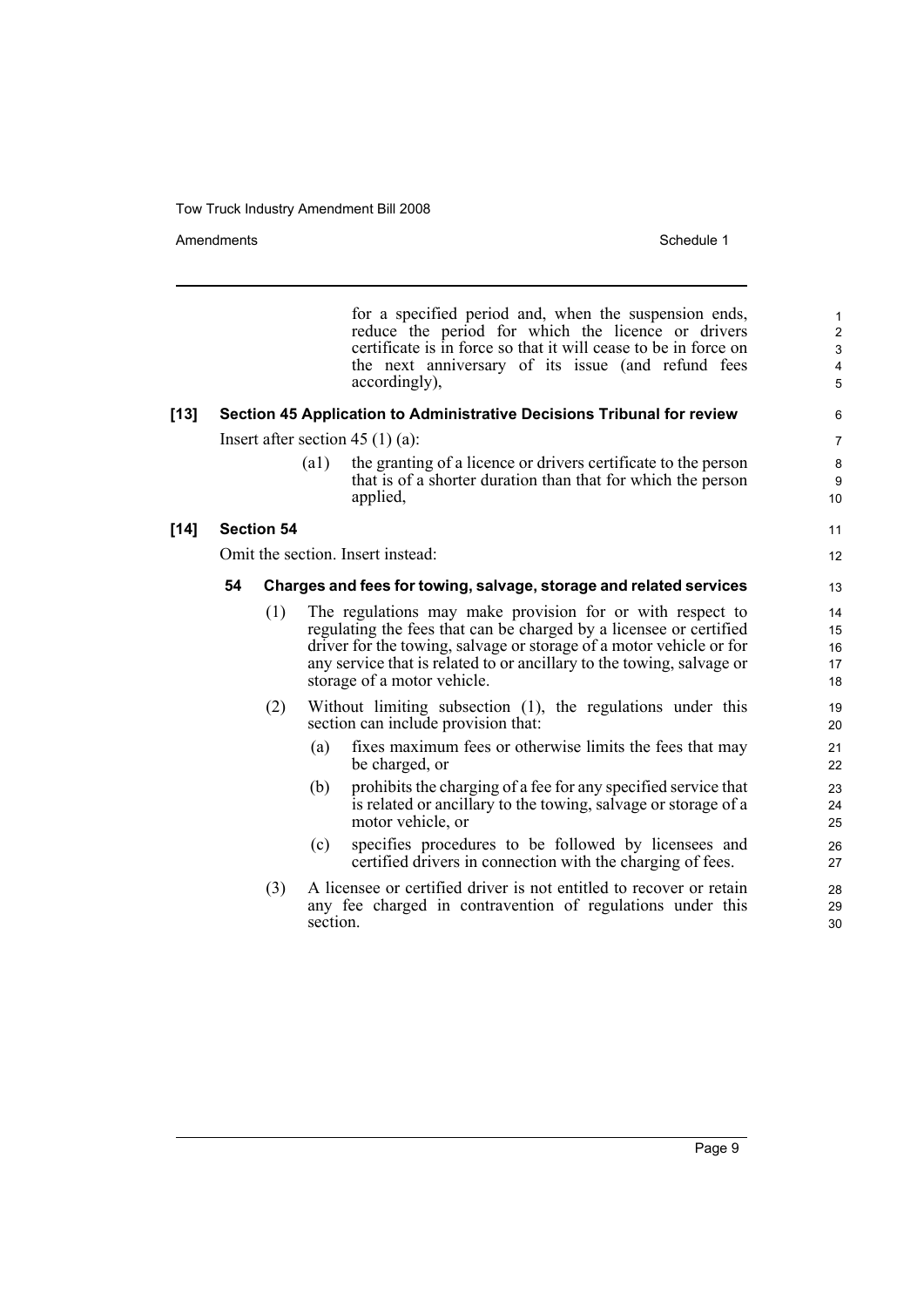Amendments **Amendments** Schedule 1

11 12

for a specified period and, when the suspension ends, reduce the period for which the licence or drivers certificate is in force so that it will cease to be in force on the next anniversary of its issue (and refund fees accordingly),

### **[13] Section 45 Application to Administrative Decisions Tribunal for review**

Insert after section 45 (1) (a):

(a1) the granting of a licence or drivers certificate to the person that is of a shorter duration than that for which the person applied,

## **[14] Section 54**

Omit the section. Insert instead:

## **54 Charges and fees for towing, salvage, storage and related services**

- (1) The regulations may make provision for or with respect to regulating the fees that can be charged by a licensee or certified driver for the towing, salvage or storage of a motor vehicle or for any service that is related to or ancillary to the towing, salvage or storage of a motor vehicle.
- (2) Without limiting subsection (1), the regulations under this section can include provision that:
	- (a) fixes maximum fees or otherwise limits the fees that may be charged, or
	- (b) prohibits the charging of a fee for any specified service that is related or ancillary to the towing, salvage or storage of a motor vehicle, or
	- (c) specifies procedures to be followed by licensees and certified drivers in connection with the charging of fees.
- (3) A licensee or certified driver is not entitled to recover or retain any fee charged in contravention of regulations under this section.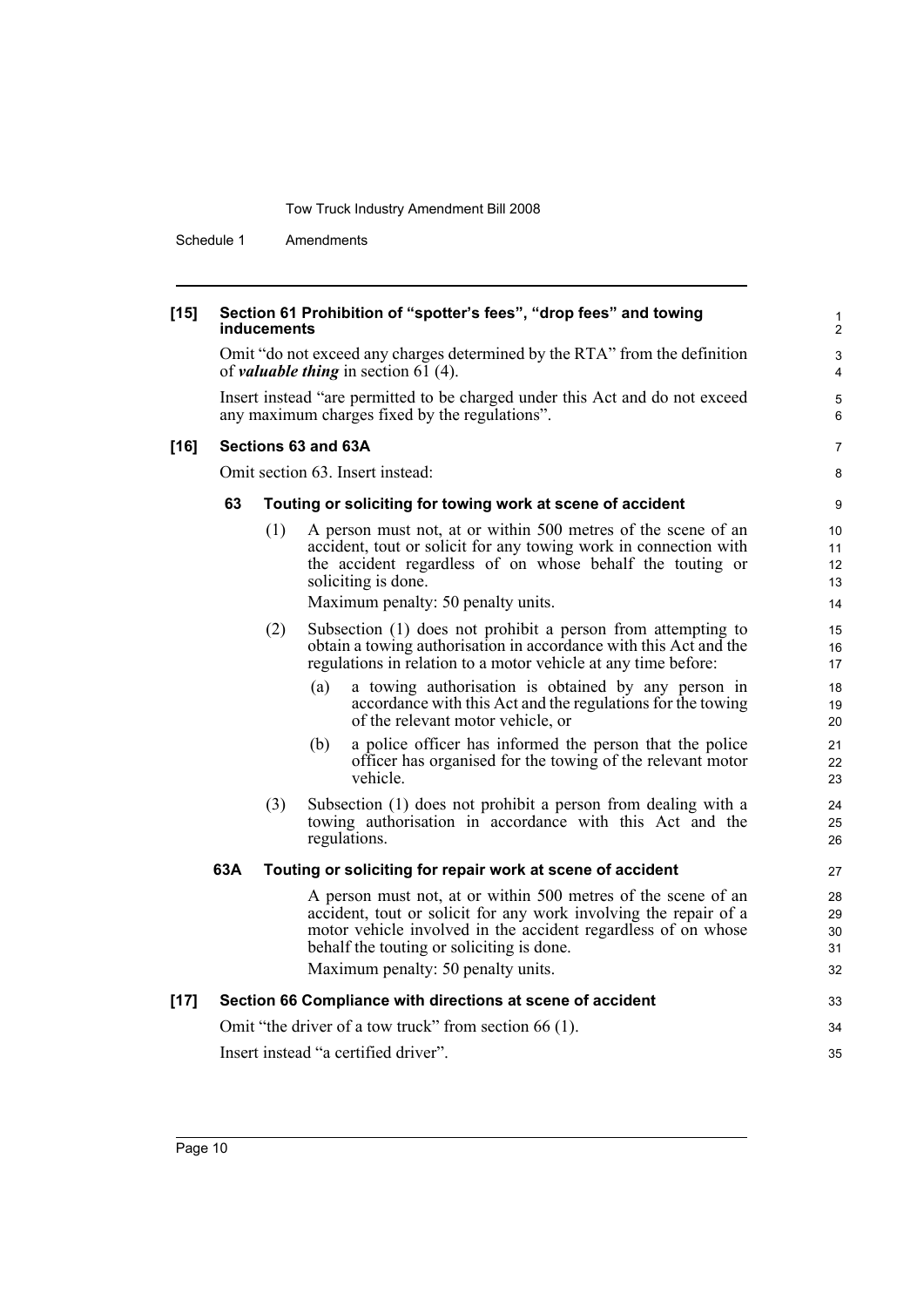Schedule 1 Amendments

| $[15]$ |     | inducements | Section 61 Prohibition of "spotter's fees", "drop fees" and towing                                                                                                                                                                                                                    | 1<br>$\overline{2}$        |  |  |
|--------|-----|-------------|---------------------------------------------------------------------------------------------------------------------------------------------------------------------------------------------------------------------------------------------------------------------------------------|----------------------------|--|--|
|        |     |             | Omit "do not exceed any charges determined by the RTA" from the definition<br>of <i>valuable thing</i> in section 61 $(4)$ .                                                                                                                                                          | 3<br>4                     |  |  |
|        |     |             | Insert instead "are permitted to be charged under this Act and do not exceed<br>any maximum charges fixed by the regulations".                                                                                                                                                        | 5<br>6                     |  |  |
| $[16]$ |     |             | Sections 63 and 63A                                                                                                                                                                                                                                                                   | $\overline{7}$             |  |  |
|        |     |             | Omit section 63. Insert instead:                                                                                                                                                                                                                                                      | 8                          |  |  |
|        | 63  |             | Touting or soliciting for towing work at scene of accident                                                                                                                                                                                                                            | 9                          |  |  |
|        |     | (1)         | A person must not, at or within 500 metres of the scene of an<br>accident, tout or solicit for any towing work in connection with<br>the accident regardless of on whose behalf the touting or<br>soliciting is done.                                                                 | 10<br>11<br>12<br>13       |  |  |
|        |     |             | Maximum penalty: 50 penalty units.                                                                                                                                                                                                                                                    | 14                         |  |  |
|        |     | (2)         | Subsection (1) does not prohibit a person from attempting to<br>obtain a towing authorisation in accordance with this Act and the<br>regulations in relation to a motor vehicle at any time before:                                                                                   | 15<br>16<br>17             |  |  |
|        |     |             | (a)<br>a towing authorisation is obtained by any person in<br>accordance with this Act and the regulations for the towing<br>of the relevant motor vehicle, or                                                                                                                        | 18<br>19<br>20             |  |  |
|        |     |             | a police officer has informed the person that the police<br>(b)<br>officer has organised for the towing of the relevant motor<br>vehicle.                                                                                                                                             | 21<br>22<br>23             |  |  |
|        |     | (3)         | Subsection (1) does not prohibit a person from dealing with a<br>towing authorisation in accordance with this Act and the<br>regulations.                                                                                                                                             | 24<br>25<br>26             |  |  |
|        | 63A |             | Touting or soliciting for repair work at scene of accident                                                                                                                                                                                                                            | 27                         |  |  |
|        |     |             | A person must not, at or within 500 metres of the scene of an<br>accident, tout or solicit for any work involving the repair of a<br>motor vehicle involved in the accident regardless of on whose<br>behalf the touting or soliciting is done.<br>Maximum penalty: 50 penalty units. | 28<br>29<br>30<br>31<br>32 |  |  |
| $[17]$ |     |             | Section 66 Compliance with directions at scene of accident                                                                                                                                                                                                                            | 33                         |  |  |
|        |     |             | Omit "the driver of a tow truck" from section 66 (1).                                                                                                                                                                                                                                 | 34                         |  |  |
|        |     |             | Insert instead "a certified driver".                                                                                                                                                                                                                                                  | 35                         |  |  |
|        |     |             |                                                                                                                                                                                                                                                                                       |                            |  |  |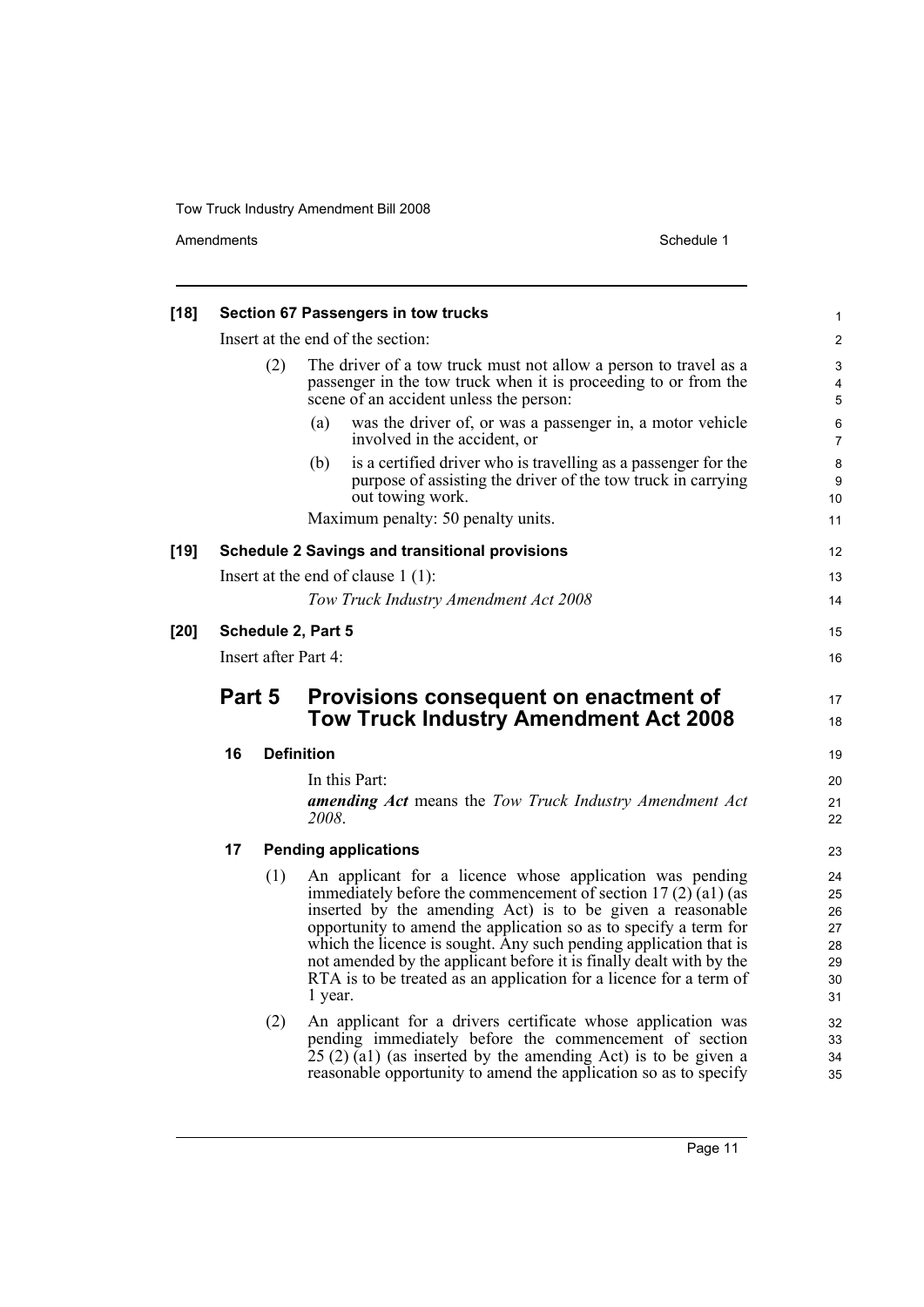Amendments Schedule 1

| $[18]$ |                      |     | Section 67 Passengers in tow trucks                                                                                                                                                                                                                                                                                                                                                                                                                                                      | 1                                            |  |
|--------|----------------------|-----|------------------------------------------------------------------------------------------------------------------------------------------------------------------------------------------------------------------------------------------------------------------------------------------------------------------------------------------------------------------------------------------------------------------------------------------------------------------------------------------|----------------------------------------------|--|
|        |                      |     | Insert at the end of the section:                                                                                                                                                                                                                                                                                                                                                                                                                                                        | $\overline{\mathbf{c}}$                      |  |
|        |                      | (2) | The driver of a tow truck must not allow a person to travel as a<br>passenger in the tow truck when it is proceeding to or from the<br>scene of an accident unless the person:                                                                                                                                                                                                                                                                                                           | 3<br>4<br>5                                  |  |
|        |                      |     | was the driver of, or was a passenger in, a motor vehicle<br>(a)<br>involved in the accident, or                                                                                                                                                                                                                                                                                                                                                                                         | 6<br>7                                       |  |
|        |                      |     | is a certified driver who is travelling as a passenger for the<br>(b)<br>purpose of assisting the driver of the tow truck in carrying<br>out towing work.                                                                                                                                                                                                                                                                                                                                | 8<br>9<br>10                                 |  |
|        |                      |     | Maximum penalty: 50 penalty units.                                                                                                                                                                                                                                                                                                                                                                                                                                                       | 11                                           |  |
| [19]   |                      |     | <b>Schedule 2 Savings and transitional provisions</b>                                                                                                                                                                                                                                                                                                                                                                                                                                    | 12                                           |  |
|        |                      |     | Insert at the end of clause $1(1)$ :                                                                                                                                                                                                                                                                                                                                                                                                                                                     | 13                                           |  |
|        |                      |     | Tow Truck Industry Amendment Act 2008                                                                                                                                                                                                                                                                                                                                                                                                                                                    | 14                                           |  |
| [20]   |                      |     | Schedule 2, Part 5                                                                                                                                                                                                                                                                                                                                                                                                                                                                       | 15                                           |  |
|        | Insert after Part 4: |     |                                                                                                                                                                                                                                                                                                                                                                                                                                                                                          |                                              |  |
|        | Part 5               |     | Provisions consequent on enactment of<br><b>Tow Truck Industry Amendment Act 2008</b>                                                                                                                                                                                                                                                                                                                                                                                                    | 17<br>18                                     |  |
|        | 16                   |     | <b>Definition</b>                                                                                                                                                                                                                                                                                                                                                                                                                                                                        | 19                                           |  |
|        |                      |     | In this Part:<br><b>amending Act</b> means the Tow Truck Industry Amendment Act<br>2008.                                                                                                                                                                                                                                                                                                                                                                                                 | 20<br>21<br>22                               |  |
|        | 17                   |     | <b>Pending applications</b>                                                                                                                                                                                                                                                                                                                                                                                                                                                              | 23                                           |  |
|        |                      | (1) | An applicant for a licence whose application was pending<br>immediately before the commencement of section 17 (2) (a1) (as<br>inserted by the amending Act) is to be given a reasonable<br>opportunity to amend the application so as to specify a term for<br>which the licence is sought. Any such pending application that is<br>not amended by the applicant before it is finally dealt with by the<br>RTA is to be treated as an application for a licence for a term of<br>1 year. | 24<br>25<br>26<br>27<br>28<br>29<br>30<br>31 |  |
|        |                      | (2) | An applicant for a drivers certificate whose application was<br>pending immediately before the commencement of section<br>$25(2)(a1)$ (as inserted by the amending Act) is to be given a<br>reasonable opportunity to amend the application so as to specify                                                                                                                                                                                                                             | 32<br>33<br>34<br>35                         |  |